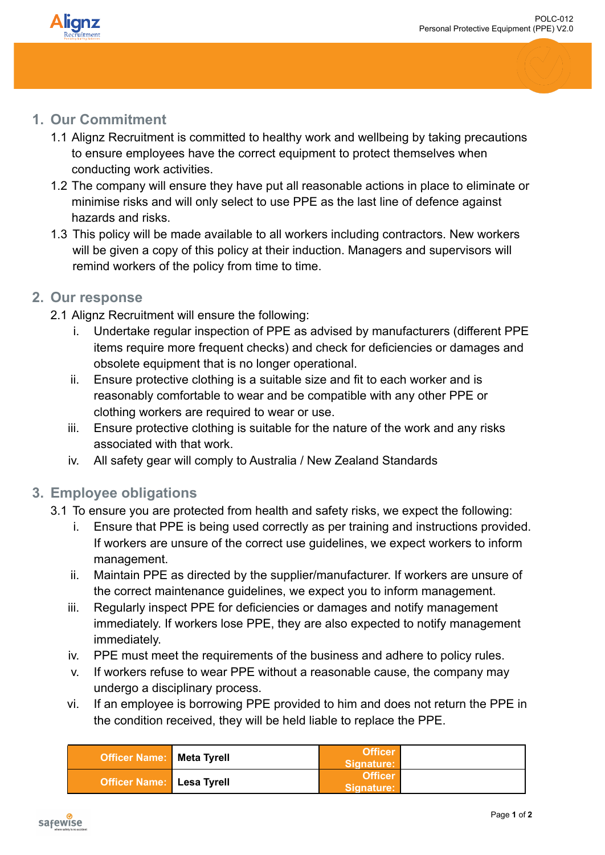

## **1. Our Commitment**

- 1.1 Alignz Recruitment is committed to healthy work and wellbeing by taking precautions to ensure employees have the correct equipment to protect themselves when conducting work activities.
- 1.2 The company will ensure they have put all reasonable actions in place to eliminate or minimise risks and will only select to use PPE as the last line of defence against hazards and risks.
- 1.3 This policy will be made available to all workers including contractors. New workers will be given a copy of this policy at their induction. Managers and supervisors will remind workers of the policy from time to time.

## **2. Our response**

- 2.1 Alignz Recruitment will ensure the following:
	- Undertake regular inspection of PPE as advised by manufacturers (different PPE) items require more frequent checks) and check for deficiencies or damages and obsolete equipment that is no longer operational.
	- ii. Ensure protective clothing is a suitable size and fit to each worker and is reasonably comfortable to wear and be compatible with any other PPE or clothing workers are required to wear or use.
	- iii. Ensure protective clothing is suitable for the nature of the work and any risks associated with that work.
	- iv. All safety gear will comply to Australia / New Zealand Standards

## **3. Employee obligations**

- 3.1 To ensure you are protected from health and safety risks, we expect the following:
	- i. Ensure that PPE is being used correctly as per training and instructions provided. If workers are unsure of the correct use guidelines, we expect workers to inform management.
	- ii. Maintain PPE as directed by the supplier/manufacturer. If workers are unsure of the correct maintenance guidelines, we expect you to inform management.
	- iii. Regularly inspect PPE for deficiencies or damages and notify management immediately. If workers lose PPE, they are also expected to notify management immediately.
	- iv. PPE must meet the requirements of the business and adhere to policy rules.
	- v. If workers refuse to wear PPE without a reasonable cause, the company may undergo a disciplinary process.
	- vi. If an employee is borrowing PPE provided to him and does not return the PPE in the condition received, they will be held liable to replace the PPE.

| <b>Officer Name:</b> Meta Tyrell | <b>Officer</b><br>Signature: |  |
|----------------------------------|------------------------------|--|
| <b>Officer Name:</b> Lesa Tyrell | Officer<br>Signature:        |  |